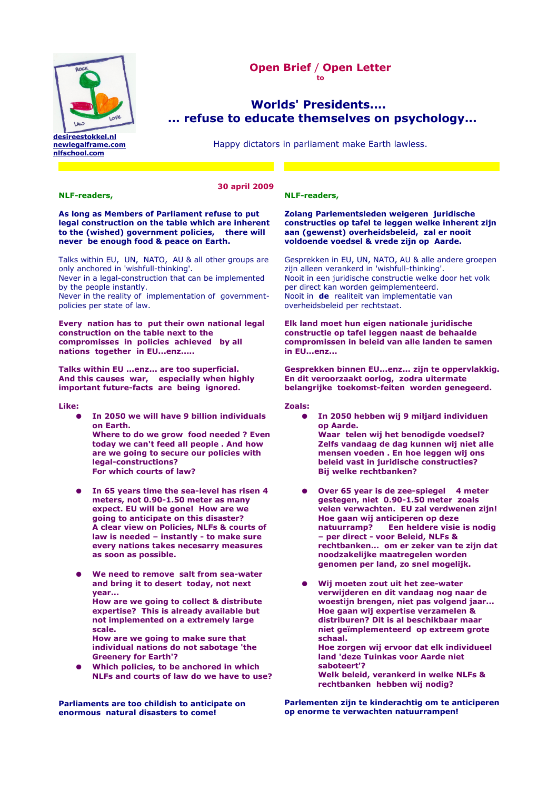

**[desireestokkel.nl](http://www.desireestokkel.nl/) [newlegalframe.com](http://www.newlegalframe.com/) [nlfschool.com](http://www.nflschool.com/)**

# **Open Brief** / **Open Letter to**

# **[Worlds' Presidents....](http://www.talpacreative.com/contact)   [... refuse to educate themselves on psychology...](http://www.talpacreative.com/contact)**

Happy dictators in parliament make Earth lawless.

# **30 april 2009**

#### **NLF-readers,**

**As long as Members of Parliament refuse to put legal construction on the table which are inherent to the (wished) government policies, there will never be enough food & peace on Earth.**

Talks within EU, UN, NATO, AU & all other groups are only anchored in 'wishfull-thinking'.

Never in a legal-construction that can be implemented by the people instantly.

Never in the reality of implementation of governmentpolicies per state of law.

**Every nation has to put their own national legal construction on the table next to the compromisses in policies achieved by all nations together in EU...enz.....**

**Talks within EU ...enz... are too superficial. And this causes war, especially when highly important future-facts are being ignored.**

**Like:**

- **In 2050 we will have 9 billion individuals on Earth. Where to do we grow food needed ? Even today we can't feed all people . And how are we going to secure our policies with legal-constructions? For which courts of law?**
- **In 65 years time the sea-level has risen 4 meters, not 0.90-1.50 meter as many expect. EU will be gone! How are we going to anticipate on this disaster? A clear view on Policies, NLFs & courts of law is needed – instantly - to make sure every nations takes necesarry measures as soon as possible.**
- We need to remove salt from sea-water **and bring it to desert today, not next year...** 
	- **How are we going to collect & distribute expertise? This is already available but not implemented on a extremely large scale.**
- **How are we going to make sure that individual nations do not sabotage 'the Greenery for Earth'?**
- **Which policies, to be anchored in which NLFs and courts of law do we have to use?**

**Parliaments are too childish to anticipate on enormous natural disasters to come!**

## **NLF-readers,**

#### **Zolang Parlementsleden weigeren juridische constructies op tafel te leggen welke inherent zijn aan (gewenst) overheidsbeleid, zal er nooit voldoende voedsel & vrede zijn op Aarde.**

Gesprekken in EU, UN, NATO, AU & alle andere groepen zijn alleen verankerd in 'wishfull-thinking'. Nooit in een juridische constructie welke door het volk per direct kan worden geimplementeerd. Nooit in **de** realiteit van implementatie van overheidsbeleid per rechtstaat.

#### **Elk land moet hun eigen nationale juridische constructie op tafel leggen naast de behaalde compromissen in beleid van alle landen te samen in EU...enz...**

**Gesprekken binnen EU...enz... zijn te oppervlakkig. En dit veroorzaakt oorlog, zodra uitermate belangrijke toekomst-feiten worden genegeerd.**

**Zoals:**

- **In 2050 hebben wij 9 miljard individuen op Aarde. Waar telen wij het benodigde voedsel? Zelfs vandaag de dag kunnen wij niet alle mensen voeden . En hoe leggen wij ons beleid vast in juridische constructies? Bij welke rechtbanken?**
- **Over 65 year is de zee-spiegel 4 meter gestegen, niet 0.90-1.50 meter zoals velen verwachten. EU zal verdwenen zijn! Hoe gaan wij anticiperen op deze natuurramp? Een heldere visie is nodig – per direct - voor Beleid, NLFs & rechtbanken... om er zeker van te zijn dat noodzakelijke maatregelen worden genomen per land, zo snel mogelijk.**
- **Wij moeten zout uit het zee-water verwijderen en dit vandaag nog naar de woestijn brengen, niet pas volgend jaar... Hoe gaan wij expertise verzamelen & distriburen? Dit is al beschikbaar maar niet geïmplementeerd op extreem grote schaal.** 
	- **Hoe zorgen wij ervoor dat elk individueel land 'deze Tuinkas voor Aarde niet saboteert'? Welk beleid, verankerd in welke NLFs &**
	- **rechtbanken hebben wij nodig?**

**Parlementen zijn te kinderachtig om te anticiperen op enorme te verwachten natuurrampen!**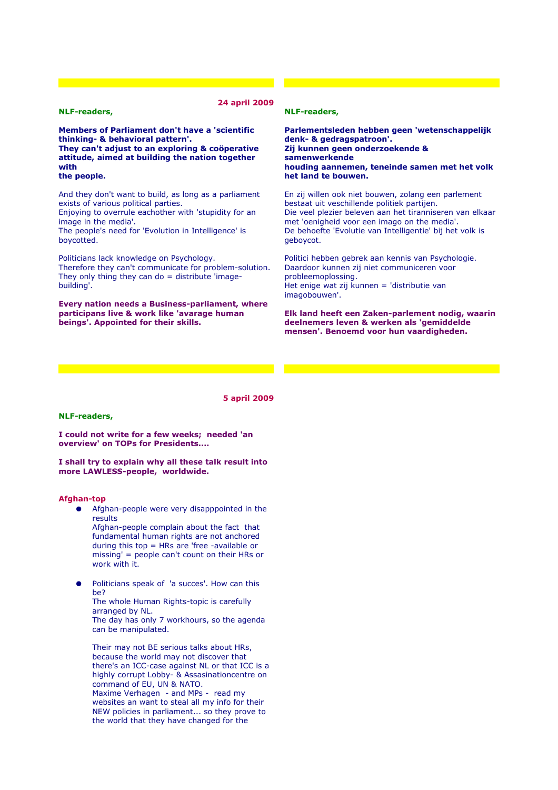#### **NLF-readers,**

**24 april 2009**

**Members of Parliament don't have a 'scientific thinking- & behavioral pattern'. They can't adjust to an exploring & coöperative attitude, aimed at building the nation together with the people.**

And they don't want to build, as long as a parliament exists of various political parties. Enjoying to overrule eachother with 'stupidity for an

image in the media'.

The people's need for 'Evolution in Intelligence' is boycotted.

Politicians lack knowledge on Psychology. Therefore they can't communicate for problem-solution. They only thing they can do  $=$  distribute 'imagebuilding'.

**Every nation needs a Business-parliament, where participans live & work like 'avarage human beings'. Appointed for their skills.**

# **NLF-readers,**

**Parlementsleden hebben geen 'wetenschappelijk denk- & gedragspatroon'. Zij kunnen geen onderzoekende & samenwerkende houding aannemen, teneinde samen met het volk het land te bouwen.**

En zij willen ook niet bouwen, zolang een parlement bestaat uit veschillende politiek partijen. Die veel plezier beleven aan het tiranniseren van elkaar met 'oenigheid voor een imago on the media'. De behoefte 'Evolutie van Intelligentie' bij het volk is geboycot.

Politici hebben gebrek aan kennis van Psychologie. Daardoor kunnen zij niet communiceren voor probleemoplossing. Het enige wat zij kunnen = 'distributie van imagobouwen'.

**Elk land heeft een Zaken-parlement nodig, waarin deelnemers leven & werken als 'gemiddelde mensen'. Benoemd voor hun vaardigheden.**

**5 april 2009**

#### **NLF-readers,**

**I could not write for a few weeks; needed 'an overview' on TOPs for Presidents....**

**I shall try to explain why all these talk result into more LAWLESS-people, worldwide.** 

#### **Afghan-top**

- Afghan-people were very disapppointed in the results Afghan-people complain about the fact that fundamental human rights are not anchored during this top = HRs are 'free -available or
- missing' = people can't count on their HRs or work with it.
- Politicians speak of 'a succes'. How can this be?

The whole Human Rights-topic is carefully arranged by NL. The day has only 7 workhours, so the agenda can be manipulated.

Their may not BE serious talks about HRs, because the world may not discover that there's an ICC-case against NL or that ICC is a highly corrupt Lobby- & Assasinationcentre on command of EU, UN & NATO. Maxime Verhagen - and MPs - read my websites an want to steal all my info for their NEW policies in parliament... so they prove to the world that they have changed for the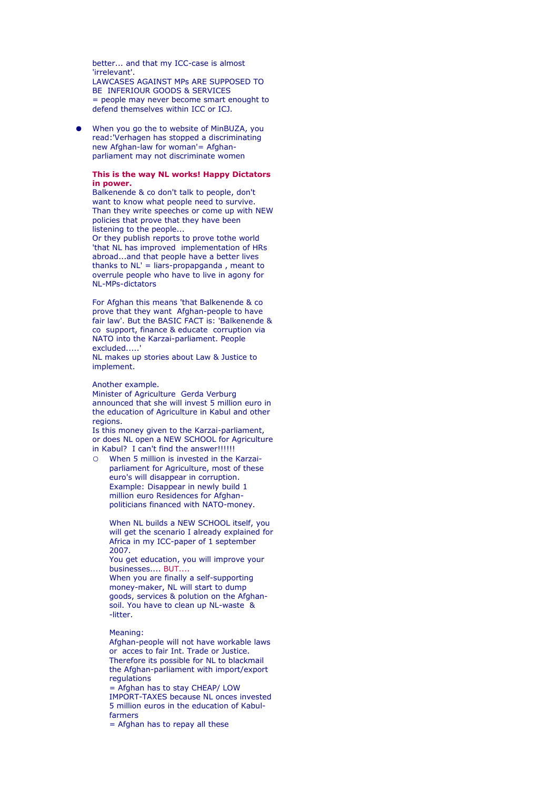better... and that my ICC-case is almost 'irrelevant'. LAWCASES AGAINST MPs ARE SUPPOSED TO BE INFERIOUR GOODS & SERVICES = people may never become smart enought to defend themselves within ICC or ICJ.

When you go the to website of MinBUZA, you read:'Verhagen has stopped a discriminating new Afghan-law for woman'= Afghanparliament may not discriminate women

#### **This is the way NL works! Happy Dictators in power.**

Balkenende & co don't talk to people, don't want to know what people need to survive. Than they write speeches or come up with NEW policies that prove that they have been listening to the people...

Or they publish reports to prove tothe world 'that NL has improved implementation of HRs abroad...and that people have a better lives thanks to NL' = liars-propapganda , meant to overrule people who have to live in agony for NL-MPs-dictators

For Afghan this means 'that Balkenende & co prove that they want Afghan-people to have fair law'. But the BASIC FACT is: 'Balkenende & co support, finance & educate corruption via NATO into the Karzai-parliament. People excluded.....'

NL makes up stories about Law & Justice to implement.

Another example.

Minister of Agriculture Gerda Verburg announced that she will invest 5 million euro in the education of Agriculture in Kabul and other regions.

Is this money given to the Karzai-parliament, or does NL open a NEW SCHOOL for Agriculture in Kabul? I can't find the answer!!!!!!

○ When 5 million is invested in the Karzaiparliament for Agriculture, most of these euro's will disappear in corruption. Example: Disappear in newly build 1 million euro Residences for Afghanpoliticians financed with NATO-money.

When NL builds a NEW SCHOOL itself, you will get the scenario I already explained for Africa in my ICC-paper of 1 september 2007.

You get education, you will improve your businesses.... BUT....

When you are finally a self-supporting money-maker, NL will start to dump goods, services & polution on the Afghansoil. You have to clean up NL-waste & -litter.

Meaning:

Afghan-people will not have workable laws or acces to fair Int. Trade or Justice. Therefore its possible for NL to blackmail the Afghan-parliament with import/export regulations

= Afghan has to stay CHEAP/ LOW IMPORT-TAXES because NL onces invested 5 million euros in the education of Kabulfarmers

= Afghan has to repay all these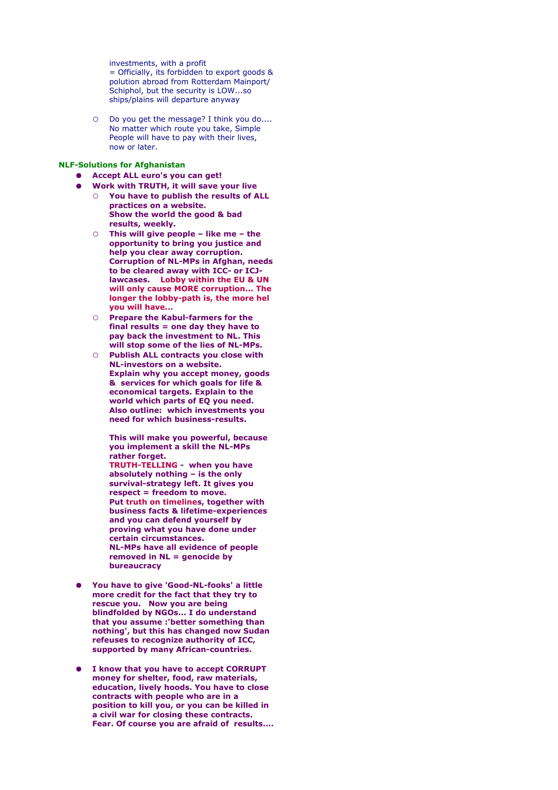investments, with a profit = Officially, its forbidden to export goods & polution abroad from Rotterdam Mainport/ Schiphol, but the security is LOW...so ships/plains will departure anyway

O Do you get the message? I think you do.... No matter which route you take, Simple People will have to pay with their lives, now or later.

#### **NLF-Solutions for Afghanistan**

- **Accept ALL euro's you can get!**
- **Work with TRUTH, it will save your live** ○ **You have to publish the results of ALL**
	- **practices on a website. Show the world the good & bad results, weekly.**
	- **This will give people like me the opportunity to bring you justice and help you clear away corruption. Corruption of NL-MPs in Afghan, needs to be cleared away with ICC- or ICJlawcases. Lobby within the EU & UN will only cause MORE corruption... The longer the lobby-path is, the more hel you will have...**
	- **Prepare the Kabul-farmers for the final results = one day they have to pay back the investment to NL. This will stop some of the lies of NL-MPs.**
	- **Publish ALL contracts you close with NL-investors on a website. Explain why you accept money, goods & services for which goals for life & economical targets. Explain to the world which parts of EQ you need. Also outline: which investments you need for which business-results.**

**This will make you powerful, because you implement a skill the NL-MPs rather forget. TRUTH-TELLING - when you have absolutely nothing – is the only**

**survival-strategy left. It gives you respect = freedom to move. Put truth on timelines, together with business facts & lifetime-experiences and you can defend yourself by proving what you have done under certain circumstances. NL-MPs have all evidence of people removed in NL = genocide by bureaucracy**

- **You have to give 'Good-NL-fooks' a little more credit for the fact that they try to rescue you. Now you are being blindfolded by NGOs... I do understand that you assume :'better something than nothing', but this has changed now Sudan refeuses to recognize authority of ICC, supported by many African-countries.**
- **I know that you have to accept CORRUPT money for shelter, food, raw materials, education, lively hoods. You have to close contracts with people who are in a position to kill you, or you can be killed in a civil war for closing these contracts. Fear. Of course you are afraid of results....**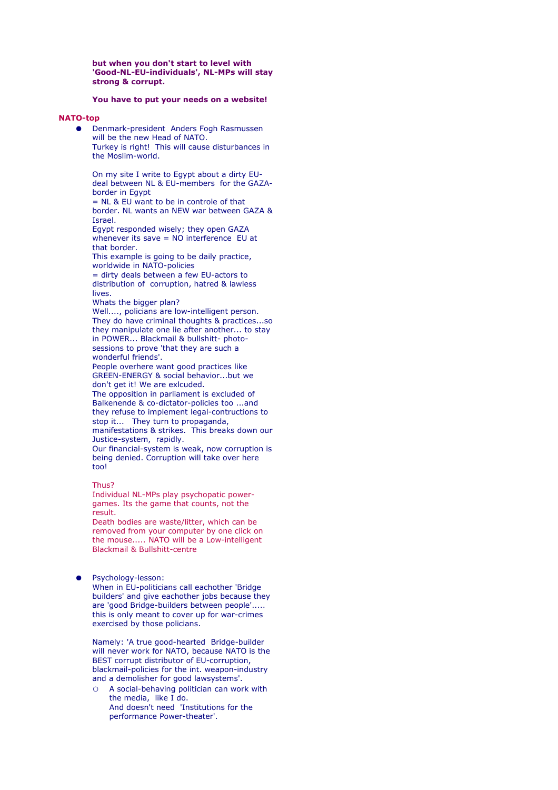**but when you don't start to level with 'Good-NL-EU-individuals', NL-MPs will stay strong & corrupt.** 

## **You have to put your needs on a website!**

## **NATO-top**

● Denmark-president Anders Fogh Rasmussen will be the new Head of NATO. Turkey is right! This will cause disturbances in the Moslim-world.

On my site I write to Egypt about a dirty EUdeal between NL & EU-members for the GAZAborder in Egypt

= NL & EU want to be in controle of that border. NL wants an NEW war between GAZA & Israel.

Egypt responded wisely; they open GAZA whenever its save = NO interference EU at that border.

This example is going to be daily practice, worldwide in NATO-policies

= dirty deals between a few EU-actors to distribution of corruption, hatred & lawless lives.

Whats the bigger plan?

Well...., policians are low-intelligent person. They do have criminal thoughts & practices...so they manipulate one lie after another... to stay in POWER... Blackmail & bullshitt- photosessions to prove 'that they are such a wonderful friends'.

People overhere want good practices like GREEN-ENERGY & social behavior...but we don't get it! We are exlcuded.

The opposition in parliament is excluded of Balkenende & co-dictator-policies too ...and they refuse to implement legal-contructions to stop it... They turn to propaganda, manifestations & strikes. This breaks down our Justice-system, rapidly.

Our financial-system is weak, now corruption is being denied. Corruption will take over here too!

#### Thus?

Individual NL-MPs play psychopatic powergames. Its the game that counts, not the result.

Death bodies are waste/litter, which can be removed from your computer by one click on the mouse..... NATO will be a Low-intelligent Blackmail & Bullshitt-centre

#### Psychology-lesson:

When in EU-politicians call eachother 'Bridge builders' and give eachother jobs because they are 'good Bridge-builders between people'..... this is only meant to cover up for war-crimes exercised by those policians.

Namely: 'A true good-hearted Bridge-builder will never work for NATO, because NATO is the BEST corrupt distributor of EU-corruption, blackmail-policies for the int. weapon-industry and a demolisher for good lawsystems'.

○ A social-behaving politician can work with the media, like I do. And doesn't need 'Institutions for the performance Power-theater'.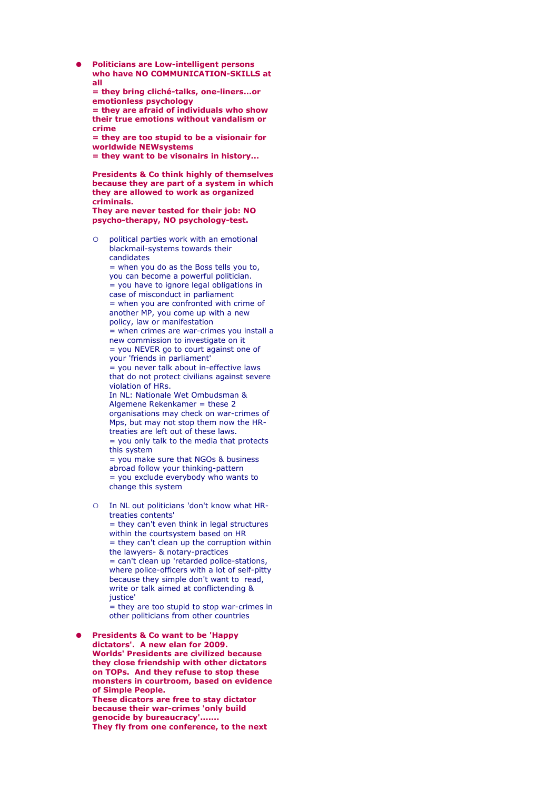● **Politicians are Low-intelligent persons who have NO COMMUNICATION-SKILLS at all**

**= they bring cliché-talks, one-liners...or emotionless psychology**

**= they are afraid of individuals who show their true emotions without vandalism or crime**

**= they are too stupid to be a visionair for worldwide NEWsystems**

**= they want to be visonairs in history...**

**Presidents & Co think highly of themselves because they are part of a system in which they are allowed to work as organized criminals.**

**They are never tested for their job: NO psycho-therapy, NO psychology-test.** 

political parties work with an emotional blackmail-systems towards their candidates

 $=$  when you do as the Boss tells you to, you can become a powerful politician.  $\frac{1}{x}$  you have to ignore legal obligations in case of misconduct in parliament  $=$  when you are confronted with crime of another MP, you come up with a new policy, law or manifestation = when crimes are war-crimes you install a

new commission to investigate on it = you NEVER go to court against one of

your 'friends in parliament' = you never talk about in-effective laws that do not protect civilians against severe violation of HRs.

In NL: Nationale Wet Ombudsman & Algemene Rekenkamer = these 2 organisations may check on war-crimes of Mps, but may not stop them now the HRtreaties are left out of these laws. = you only talk to the media that protects this system

= you make sure that NGOs & business abroad follow your thinking-pattern = you exclude everybody who wants to change this system

○ In NL out politicians 'don't know what HRtreaties contents' = they can't even think in legal structures within the courtsystem based on HR  $=$  they can't clean up the corruption within the lawyers- & notary-practices  $=$  can't clean up 'retarded police-stations, where police-officers with a lot of self-pitty because they simple don't want to read, write or talk aimed at conflictending & justice'

 $=$  they are too stupid to stop war-crimes in other politicians from other countries

**Presidents & Co want to be 'Happy dictators'. A new elan for 2009. Worlds' Presidents are civilized because they close friendship with other dictators on TOPs. And they refuse to stop these monsters in courtroom, based on evidence of Simple People. These dicators are free to stay dictator because their war-crimes 'only build genocide by bureaucracy'....... They fly from one conference, to the next**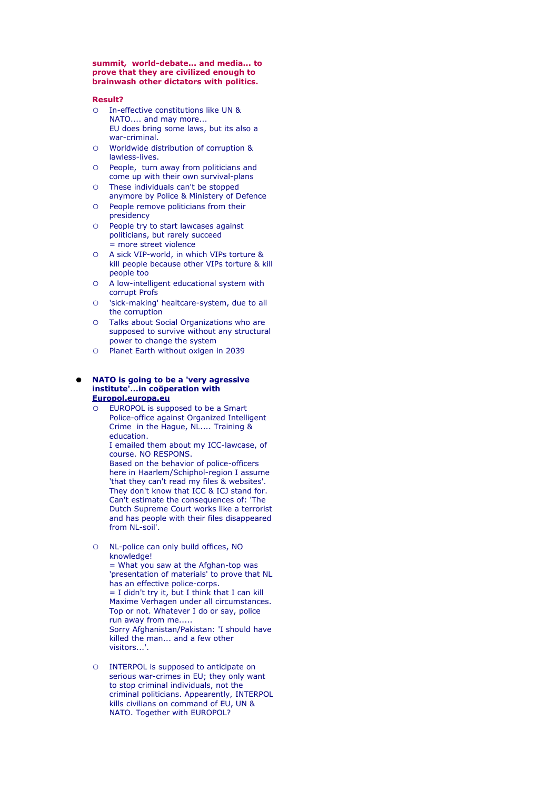**summit, world-debate... and media... to prove that they are civilized enough to brainwash other dictators with politics.** 

#### **Result?**

- In-effective constitutions like UN & NATO.... and may more... EU does bring some laws, but its also a war-criminal.
- Worldwide distribution of corruption & lawless-lives.
- People, turn away from politicians and come up with their own survival-plans
- These individuals can't be stopped anymore by Police & Ministery of Defence
- People remove politicians from their presidency
- People try to start lawcases against politicians, but rarely succeed = more street violence
- A sick VIP-world, in which VIPs torture & kill people because other VIPs torture & kill people too
- A low-intelligent educational system with corrupt Profs
- 'sick-making' healtcare-system, due to all the corruption
- Talks about Social Organizations who are supposed to survive without any structural power to change the system
- Planet Earth without oxigen in 2039

#### **NATO is going to be a 'very agressive institute'...in coöperation with [Europol.europa.eu](http://www.europol.europa.eu/)**

○ EUROPOL is supposed to be a Smart Police-office against Organized Intelligent Crime in the Hague, NL.... Training & education.

I emailed them about my ICC-lawcase, of course. NO RESPONS.

Based on the behavior of police-officers here in Haarlem/Schiphol-region I assume 'that they can't read my files & websites'. They don't know that ICC & ICJ stand for. Can't estimate the consequences of: 'The Dutch Supreme Court works like a terrorist and has people with their files disappeared from NL-soil'.

○ NL-police can only build offices, NO knowledge!

= What you saw at the Afghan-top was 'presentation of materials' to prove that NL has an effective police-corps.  $=$  I didn't try it, but I think that I can kill Maxime Verhagen under all circumstances. Top or not. Whatever I do or say, police run away from me..... Sorry Afghanistan/Pakistan: 'I should have killed the man... and a few other visitors...'.

○ INTERPOL is supposed to anticipate on serious war-crimes in EU; they only want to stop criminal individuals, not the criminal politicians. Appearently, INTERPOL kills civilians on command of EU, UN & NATO. Together with EUROPOL?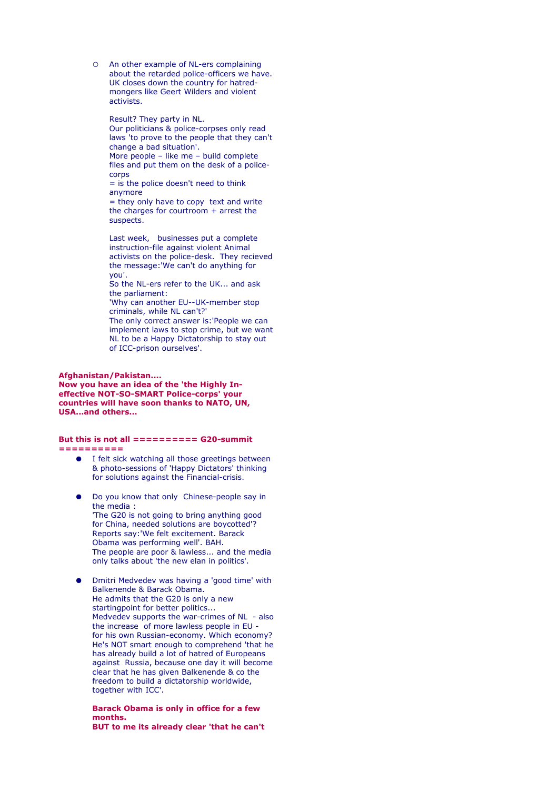○ An other example of NL-ers complaining about the retarded police-officers we have. UK closes down the country for hatredmongers like Geert Wilders and violent activists.

Result? They party in NL.

Our politicians & police-corpses only read laws 'to prove to the people that they can't change a bad situation'. More people – like me – build complete

files and put them on the desk of a policecorps

= is the police doesn't need to think anymore

 $=$  they only have to copy text and write the charges for courtroom + arrest the suspects.

Last week, businesses put a complete instruction-file against violent Animal activists on the police-desk. They recieved the message:'We can't do anything for you'.

So the NL-ers refer to the UK... and ask the parliament:

'Why can another EU--UK-member stop criminals, while NL can't?'

The only correct answer is:'People we can implement laws to stop crime, but we want NL to be a Happy Dictatorship to stay out of ICC-prison ourselves'.

#### **Afghanistan/Pakistan....**

**Now you have an idea of the 'the Highly Ineffective NOT-SO-SMART Police-corps' your countries will have soon thanks to NATO, UN, USA...and others...** 

# **But this is not all ========== G20-summit**

**==========**

- I felt sick watching all those greetings between & photo-sessions of 'Happy Dictators' thinking for solutions against the Financial-crisis.
- Do you know that only Chinese-people say in the media : 'The G20 is not going to bring anything good for China, needed solutions are boycotted'? Reports say:'We felt excitement. Barack Obama was performing well'. BAH. The people are poor & lawless... and the media only talks about 'the new elan in politics'.
- Dmitri Medvedev was having a 'good time' with Balkenende & Barack Obama. He admits that the G20 is only a new startingpoint for better politics... Medvedev supports the war-crimes of NL - also the increase of more lawless people in EU for his own Russian-economy. Which economy? He's NOT smart enough to comprehend 'that he has already build a lot of hatred of Europeans against Russia, because one day it will become clear that he has given Balkenende & co the freedom to build a dictatorship worldwide, together with ICC'.

**Barack Obama is only in office for a few months. BUT to me its already clear 'that he can't**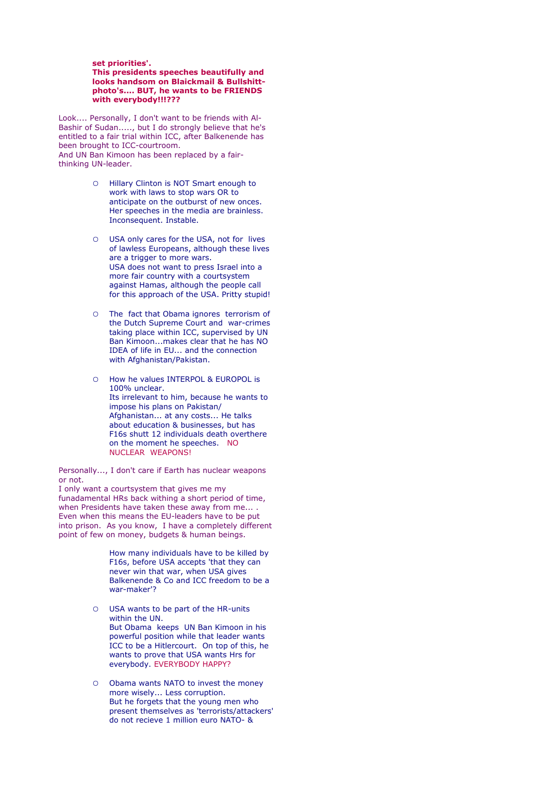#### **set priorities'.**

#### **This presidents speeches beautifully and looks handsom on Blaickmail & Bullshittphoto's.... BUT, he wants to be FRIENDS with everybody!!!???**

Look.... Personally, I don't want to be friends with Al-Bashir of Sudan....., but I do strongly believe that he's entitled to a fair trial within ICC, after Balkenende has been brought to ICC-courtroom. And UN Ban Kimoon has been replaced by a fairthinking UN-leader.

- Hillary Clinton is NOT Smart enough to work with laws to stop wars OR to anticipate on the outburst of new onces. Her speeches in the media are brainless. Inconsequent. Instable.
- O USA only cares for the USA, not for lives of lawless Europeans, although these lives are a trigger to more wars. USA does not want to press Israel into a more fair country with a courtsystem against Hamas, although the people call for this approach of the USA. Pritty stupid!
- The fact that Obama ignores terrorism of the Dutch Supreme Court and war-crimes taking place within ICC, supervised by UN Ban Kimoon...makes clear that he has NO IDEA of life in EU... and the connection with Afghanistan/Pakistan.
- How he values INTERPOL & EUROPOL is 100% unclear. Its irrelevant to him, because he wants to impose his plans on Pakistan/ Afghanistan... at any costs... He talks about education & businesses, but has F16s shutt 12 individuals death overthere on the moment he speeches. NO NUCLEAR WEAPONS!

Personally..., I don't care if Earth has nuclear weapons or not.

I only want a courtsystem that gives me my funadamental HRs back withing a short period of time, when Presidents have taken these away from me... . Even when this means the EU-leaders have to be put into prison. As you know, I have a completely different point of few on money, budgets & human beings.

> How many individuals have to be killed by F16s, before USA accepts 'that they can never win that war, when USA gives Balkenende & Co and ICC freedom to be a war-maker'?

- USA wants to be part of the HR-units within the UN. But Obama keeps UN Ban Kimoon in his powerful position while that leader wants ICC to be a Hitlercourt. On top of this, he wants to prove that USA wants Hrs for everybody. EVERYBODY HAPPY?
- Obama wants NATO to invest the money more wisely... Less corruption. But he forgets that the young men who present themselves as 'terrorists/attackers' do not recieve 1 million euro NATO- &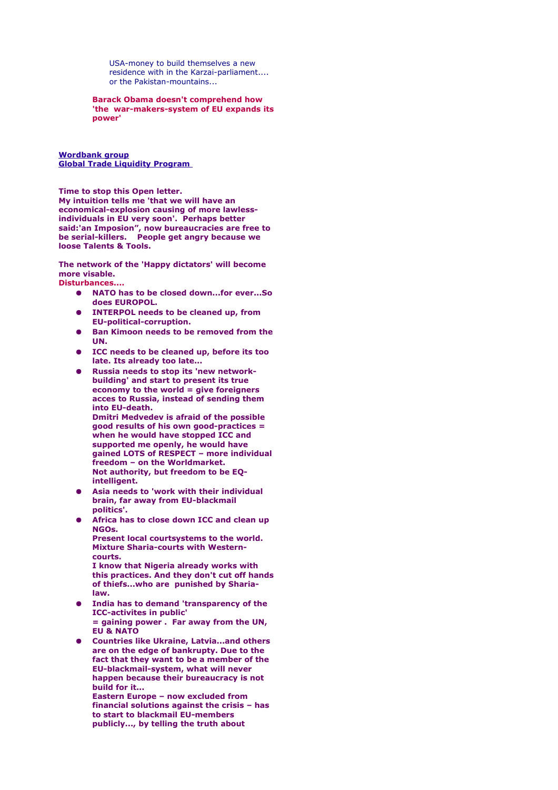USA-money to build themselves a new residence with in the Karzai-parliament.... or the Pakistan-mountains...

**Barack Obama doesn't comprehend how 'the war-makers-system of EU expands its power'**

**[Wordbank group](http://www.ifc.org/about) [Global Trade Liquidity Program](http://www.ifc.org/ifcext/spiwebsite1.nsf/f451ebbe34a9a8ca85256a550073ff10/569144a89946398e8525755b0070c57e?OpenDocument)** 

**Time to stop this Open letter. My intuition tells me 'that we will have an economical-explosion causing of more lawlessindividuals in EU very soon'. Perhaps better said:'an Imposion", now bureaucracies are free to be serial-killers. People get angry because we loose Talents & Tools.** 

**The network of the 'Happy dictators' will become more visable. Disturbances....**

- **NATO has to be closed down...for ever...So does EUROPOL.**
- **INTERPOL needs to be cleaned up, from EU-political-corruption.**
- **Ban Kimoon needs to be removed from the UN.**
- **ICC needs to be cleaned up, before its too late. Its already too late...**
- **Russia needs to stop its 'new networkbuilding' and start to present its true economy to the world = give foreigners acces to Russia, instead of sending them into EU-death. Dmitri Medvedev is afraid of the possible good results of his own good-practices = when he would have stopped ICC and supported me openly, he would have gained LOTS of RESPECT – more individual freedom – on the Worldmarket. Not authority, but freedom to be EQ-**
- **intelligent.**  ● **Asia needs to 'work with their individual brain, far away from EU-blackmail politics'.**
- **Africa has to close down ICC and clean up NGOs.**

**Present local courtsystems to the world. Mixture Sharia-courts with Westerncourts.** 

**I know that Nigeria already works with this practices. And they don't cut off hands of thiefs...who are punished by Sharialaw.**

- **India has to demand 'transparency of the ICC-activites in public' = gaining power . Far away from the UN, EU & NATO**
- **Countries like Ukraine, Latvia...and others are on the edge of bankrupty. Due to the fact that they want to be a member of the EU-blackmail-system, what will never happen because their bureaucracy is not build for it... Eastern Europe – now excluded from financial solutions against the crisis – has to start to blackmail EU-members**
	- **publicly..., by telling the truth about**